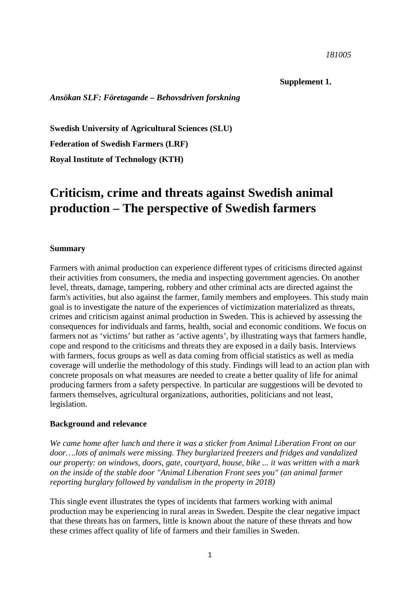#### *181005*

### **Supplement 1.**

*Ansökan SLF: Företagande – Behovsdriven forskning*

**Swedish University of Agricultural Sciences (SLU)**

**Federation of Swedish Farmers (LRF)** 

**Royal Institute of Technology (KTH)**

# **Criticism, crime and threats against Swedish animal production – The perspective of Swedish farmers**

#### **Summary**

Farmers with animal production can experience different types of criticisms directed against their activities from consumers, the media and inspecting government agencies. On another level, threats, damage, tampering, robbery and other criminal acts are directed against the farm's activities, but also against the farmer, family members and employees. This study main goal is to investigate the nature of the experiences of victimization materialized as threats, crimes and criticism against animal production in Sweden. This is achieved by assessing the consequences for individuals and farms, health, social and economic conditions. We focus on farmers not as 'victims' but rather as 'active agents', by illustrating ways that farmers handle, cope and respond to the criticisms and threats they are exposed in a daily basis. Interviews with farmers, focus groups as well as data coming from official statistics as well as media coverage will underlie the methodology of this study. Findings will lead to an action plan with concrete proposals on what measures are needed to create a better quality of life for animal producing farmers from a safety perspective. In particular are suggestions will be devoted to farmers themselves, agricultural organizations, authorities, politicians and not least, legislation.

#### **Background and relevance**

*We came home after lunch and there it was a sticker from Animal Liberation Front on our door….lots of animals were missing. They burglarized freezers and fridges and vandalized our property: on windows, doors, gate, courtyard, house, bike ... it was written with a mark on the inside of the stable door "Animal Liberation Front sees you" (an animal farmer reporting burglary followed by vandalism in the property in 2018)*

This single event illustrates the types of incidents that farmers working with animal production may be experiencing in rural areas in Sweden. Despite the clear negative impact that these threats has on farmers, little is known about the nature of these threats and how these crimes affect quality of life of farmers and their families in Sweden.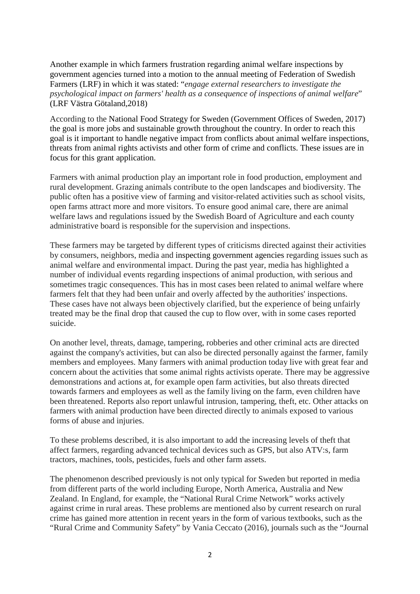Another example in which farmers frustration regarding animal welfare inspections by government agencies turned into a motion to the annual meeting of Federation of Swedish Farmers (LRF) in which it was stated: "*engage external researchers to investigate the psychological impact on farmers' health as a consequence of inspections of animal welfare*" (LRF Västra Götaland,2018)

According to the National Food Strategy for Sweden (Government Offices of Sweden, 2017) the goal is more jobs and sustainable growth throughout the country. In order to reach this goal is it important to handle negative impact from conflicts about animal welfare inspections, threats from animal rights activists and other form of crime and conflicts. These issues are in focus for this grant application.

Farmers with animal production play an important role in food production, employment and rural development. Grazing animals contribute to the open landscapes and biodiversity. The public often has a positive view of farming and visitor-related activities such as school visits, open farms attract more and more visitors. To ensure good animal care, there are animal welfare laws and regulations issued by the Swedish Board of Agriculture and each county administrative board is responsible for the supervision and inspections.

These farmers may be targeted by different types of criticisms directed against their activities by consumers, neighbors, media and inspecting government agencies regarding issues such as animal welfare and environmental impact. During the past year, media has highlighted a number of individual events regarding inspections of animal production, with serious and sometimes tragic consequences. This has in most cases been related to animal welfare where farmers felt that they had been unfair and overly affected by the authorities' inspections. These cases have not always been objectively clarified, but the experience of being unfairly treated may be the final drop that caused the cup to flow over, with in some cases reported suicide.

On another level, threats, damage, tampering, robberies and other criminal acts are directed against the company's activities, but can also be directed personally against the farmer, family members and employees. Many farmers with animal production today live with great fear and concern about the activities that some animal rights activists operate. There may be aggressive demonstrations and actions at, for example open farm activities, but also threats directed towards farmers and employees as well as the family living on the farm, even children have been threatened. Reports also report unlawful intrusion, tampering, theft, etc. Other attacks on farmers with animal production have been directed directly to animals exposed to various forms of abuse and injuries.

To these problems described, it is also important to add the increasing levels of theft that affect farmers, regarding advanced technical devices such as GPS, but also ATV:s, farm tractors, machines, tools, pesticides, fuels and other farm assets.

The phenomenon described previously is not only typical for Sweden but reported in media from different parts of the world including Europe, North America, Australia and New Zealand. In England, for example, the "National Rural Crime Network" works actively against crime in rural areas. These problems are mentioned also by current research on rural crime has gained more attention in recent years in the form of various textbooks, such as the "Rural Crime and Community Safety" by Vania Ceccato (2016), journals such as the "Journal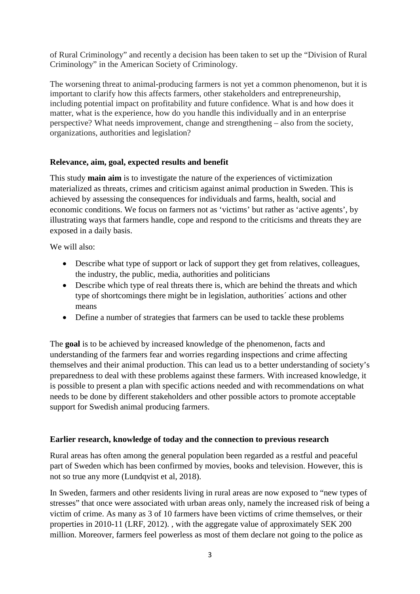of Rural Criminology" and recently a decision has been taken to set up the "Division of Rural Criminology" in the American Society of Criminology.

The worsening threat to animal-producing farmers is not yet a common phenomenon, but it is important to clarify how this affects farmers, other stakeholders and entrepreneurship, including potential impact on profitability and future confidence. What is and how does it matter, what is the experience, how do you handle this individually and in an enterprise perspective? What needs improvement, change and strengthening – also from the society, organizations, authorities and legislation?

# **Relevance, aim, goal, expected results and benefit**

This study **main aim** is to investigate the nature of the experiences of victimization materialized as threats, crimes and criticism against animal production in Sweden. This is achieved by assessing the consequences for individuals and farms, health, social and economic conditions. We focus on farmers not as 'victims' but rather as 'active agents', by illustrating ways that farmers handle, cope and respond to the criticisms and threats they are exposed in a daily basis.

We will also:

- Describe what type of support or lack of support they get from relatives, colleagues, the industry, the public, media, authorities and politicians
- Describe which type of real threats there is, which are behind the threats and which type of shortcomings there might be in legislation, authorities´ actions and other means
- Define a number of strategies that farmers can be used to tackle these problems

The **goal** is to be achieved by increased knowledge of the phenomenon, facts and understanding of the farmers fear and worries regarding inspections and crime affecting themselves and their animal production. This can lead us to a better understanding of society's preparedness to deal with these problems against these farmers. With increased knowledge, it is possible to present a plan with specific actions needed and with recommendations on what needs to be done by different stakeholders and other possible actors to promote acceptable support for Swedish animal producing farmers.

# **Earlier research, knowledge of today and the connection to previous research**

Rural areas has often among the general population been regarded as a restful and peaceful part of Sweden which has been confirmed by movies, books and television. However, this is not so true any more (Lundqvist et al, 2018).

In Sweden, farmers and other residents living in rural areas are now exposed to "new types of stresses" that once were associated with urban areas only, namely the increased risk of being a victim of crime. As many as 3 of 10 farmers have been victims of crime themselves, or their properties in 2010-11 (LRF, 2012). , with the aggregate value of approximately SEK 200 million. Moreover, farmers feel powerless as most of them declare not going to the police as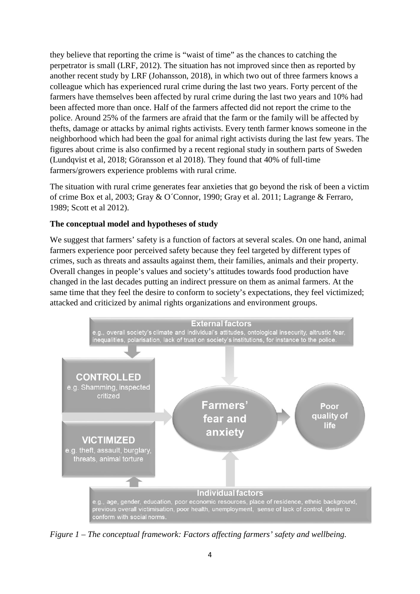they believe that reporting the crime is "waist of time" as the chances to catching the perpetrator is small (LRF, 2012). The situation has not improved since then as reported by another recent study by LRF (Johansson, 2018), in which two out of three farmers knows a colleague which has experienced rural crime during the last two years. Forty percent of the farmers have themselves been affected by rural crime during the last two years and 10% had been affected more than once. Half of the farmers affected did not report the crime to the police. Around 25% of the farmers are afraid that the farm or the family will be affected by thefts, damage or attacks by animal rights activists. Every tenth farmer knows someone in the neighborhood which had been the goal for animal right activists during the last few years. The figures about crime is also confirmed by a recent regional study in southern parts of Sweden (Lundqvist et al, 2018; Göransson et al 2018). They found that 40% of full-time farmers/growers experience problems with rural crime.

The situation with rural crime generates fear anxieties that go beyond the risk of been a victim of crime Box et al, 2003; Gray & O´Connor, 1990; Gray et al. 2011; Lagrange & Ferraro, 1989; Scott et al 2012).

## **The conceptual model and hypotheses of study**

We suggest that farmers' safety is a function of factors at several scales. On one hand, animal farmers experience poor perceived safety because they feel targeted by different types of crimes, such as threats and assaults against them, their families, animals and their property. Overall changes in people's values and society's attitudes towards food production have changed in the last decades putting an indirect pressure on them as animal farmers. At the same time that they feel the desire to conform to society's expectations, they feel victimized; attacked and criticized by animal rights organizations and environment groups.



*Figure 1 – The conceptual framework: Factors affecting farmers' safety and wellbeing.*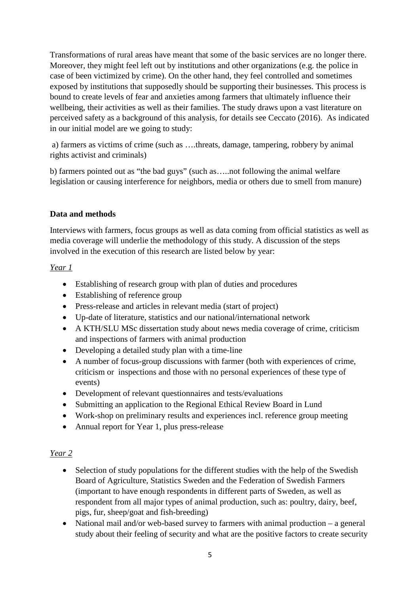Transformations of rural areas have meant that some of the basic services are no longer there. Moreover, they might feel left out by institutions and other organizations (e.g. the police in case of been victimized by crime). On the other hand, they feel controlled and sometimes exposed by institutions that supposedly should be supporting their businesses. This process is bound to create levels of fear and anxieties among farmers that ultimately influence their wellbeing, their activities as well as their families. The study draws upon a vast literature on perceived safety as a background of this analysis, for details see Ceccato (2016). As indicated in our initial model are we going to study:

a) farmers as victims of crime (such as ….threats, damage, tampering, robbery by animal rights activist and criminals)

b) farmers pointed out as "the bad guys" (such as…..not following the animal welfare legislation or causing interference for neighbors, media or others due to smell from manure)

# **Data and methods**

Interviews with farmers, focus groups as well as data coming from official statistics as well as media coverage will underlie the methodology of this study. A discussion of the steps involved in the execution of this research are listed below by year:

# *Year 1*

- Establishing of research group with plan of duties and procedures
- Establishing of reference group
- Press-release and articles in relevant media (start of project)
- Up-date of literature, statistics and our national/international network
- A KTH/SLU MSc dissertation study about news media coverage of crime, criticism and inspections of farmers with animal production
- Developing a detailed study plan with a time-line
- A number of focus-group discussions with farmer (both with experiences of crime, criticism or inspections and those with no personal experiences of these type of events)
- Development of relevant questionnaires and tests/evaluations
- Submitting an application to the Regional Ethical Review Board in Lund
- Work-shop on preliminary results and experiences incl. reference group meeting
- Annual report for Year 1, plus press-release

# *Year 2*

- Selection of study populations for the different studies with the help of the Swedish Board of Agriculture, Statistics Sweden and the Federation of Swedish Farmers (important to have enough respondents in different parts of Sweden, as well as respondent from all major types of animal production, such as: poultry, dairy, beef, pigs, fur, sheep/goat and fish-breeding)
- National mail and/or web-based survey to farmers with animal production a general study about their feeling of security and what are the positive factors to create security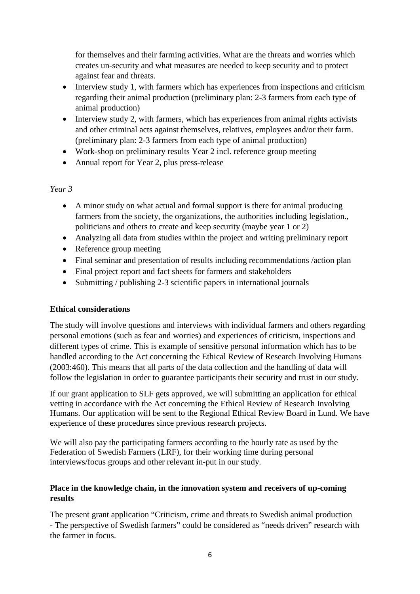for themselves and their farming activities. What are the threats and worries which creates un-security and what measures are needed to keep security and to protect against fear and threats.

- Interview study 1, with farmers which has experiences from inspections and criticism regarding their animal production (preliminary plan: 2-3 farmers from each type of animal production)
- Interview study 2, with farmers, which has experiences from animal rights activists and other criminal acts against themselves, relatives, employees and/or their farm. (preliminary plan: 2-3 farmers from each type of animal production)
- Work-shop on preliminary results Year 2 incl. reference group meeting
- Annual report for Year 2, plus press-release

# *Year 3*

- A minor study on what actual and formal support is there for animal producing farmers from the society, the organizations, the authorities including legislation., politicians and others to create and keep security (maybe year 1 or 2)
- Analyzing all data from studies within the project and writing preliminary report
- Reference group meeting
- Final seminar and presentation of results including recommendations /action plan
- Final project report and fact sheets for farmers and stakeholders
- Submitting / publishing 2-3 scientific papers in international journals

# **Ethical considerations**

The study will involve questions and interviews with individual farmers and others regarding personal emotions (such as fear and worries) and experiences of criticism, inspections and different types of crime. This is example of sensitive personal information which has to be handled according to the Act concerning the Ethical Review of Research Involving Humans (2003:460). This means that all parts of the data collection and the handling of data will follow the legislation in order to guarantee participants their security and trust in our study.

If our grant application to SLF gets approved, we will submitting an application for ethical vetting in accordance with the Act concerning the Ethical Review of Research Involving Humans. Our application will be sent to the Regional Ethical Review Board in Lund. We have experience of these procedures since previous research projects.

We will also pay the participating farmers according to the hourly rate as used by the Federation of Swedish Farmers (LRF), for their working time during personal interviews/focus groups and other relevant in-put in our study.

# **Place in the knowledge chain, in the innovation system and receivers of up-coming results**

The present grant application "Criticism, crime and threats to Swedish animal production - The perspective of Swedish farmers" could be considered as "needs driven" research with the farmer in focus.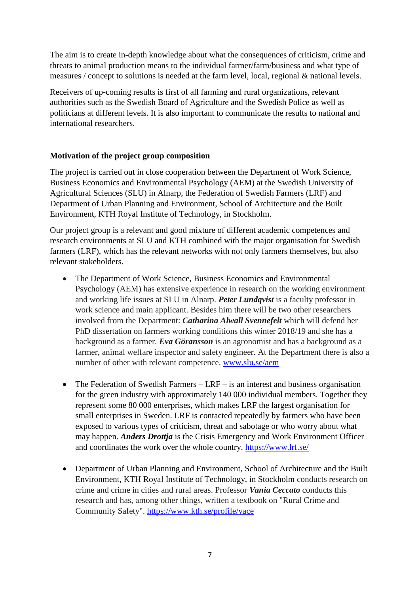The aim is to create in-depth knowledge about what the consequences of criticism, crime and threats to animal production means to the individual farmer/farm/business and what type of measures / concept to solutions is needed at the farm level, local, regional & national levels.

Receivers of up-coming results is first of all farming and rural organizations, relevant authorities such as the Swedish Board of Agriculture and the Swedish Police as well as politicians at different levels. It is also important to communicate the results to national and international researchers.

# **Motivation of the project group composition**

The project is carried out in close cooperation between the Department of Work Science, Business Economics and Environmental Psychology (AEM) at the Swedish University of Agricultural Sciences (SLU) in Alnarp, the Federation of Swedish Farmers (LRF) and [Department of Urban Planning and Environment,](https://www.kth.se/en/abe/inst/som) [School of Architecture and the Built](https://www.kth.se/en/abe)  [Environment,](https://www.kth.se/en/abe) [KTH Royal Institute of Technology,](https://www.kth.se/en) in Stockholm.

Our project group is a relevant and good mixture of different academic competences and research environments at SLU and KTH combined with the major organisation for Swedish farmers (LRF), which has the relevant networks with not only farmers themselves, but also relevant stakeholders.

- The Department of Work Science, Business Economics and Environmental Psychology (AEM) has extensive experience in research on the working environment and working life issues at SLU in Alnarp. *Peter Lundqvist* is a faculty professor in work science and main applicant. Besides him there will be two other researchers involved from the Department: *Catharina Alwall Svennefelt* which will defend her PhD dissertation on farmers working conditions this winter 2018/19 and she has a background as a farmer. *Eva Göransson* is an agronomist and has a background as a farmer, animal welfare inspector and safety engineer. At the Department there is also a number of other with relevant competence. [www.slu.se/aem](http://www.slu.se/aem)
- The Federation of Swedish Farmers LRF is an interest and business organisation for the green industry with approximately 140 000 individual members. Together they represent some 80 000 enterprises, which makes LRF the largest organisation for small enterprises in Sweden. LRF is contacted repeatedly by farmers who have been exposed to various types of criticism, threat and sabotage or who worry about what may happen. *Anders Drottja* is the Crisis Emergency and Work Environment Officer and coordinates the work over the whole country.<https://www.lrf.se/>
- [Department of Urban Planning and Environment,](https://www.kth.se/en/abe/inst/som) School of Architecture and the Built [Environment,](https://www.kth.se/en/abe) [KTH Royal Institute of Technology,](https://www.kth.se/en) in Stockholm conducts research on crime and crime in cities and rural areas. Professor *Vania Ceccato* conducts this research and has, among other things, written a textbook on "Rural Crime and Community Safety".<https://www.kth.se/profile/vace>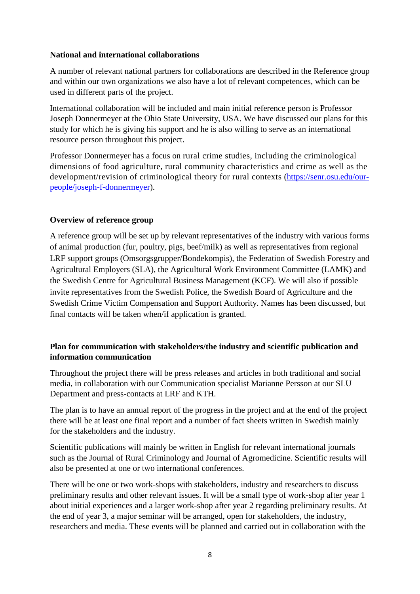## **National and international collaborations**

A number of relevant national partners for collaborations are described in the Reference group and within our own organizations we also have a lot of relevant competences, which can be used in different parts of the project.

International collaboration will be included and main initial reference person is Professor Joseph Donnermeyer at the Ohio State University, USA. We have discussed our plans for this study for which he is giving his support and he is also willing to serve as an international resource person throughout this project.

Professor Donnermeyer has a focus on rural crime studies, including the criminological dimensions of food agriculture, rural community characteristics and crime as well as the development/revision of criminological theory for rural contexts [\(https://senr.osu.edu/our](https://senr.osu.edu/our-people/joseph-f-donnermeyer)[people/joseph-f-donnermeyer\)](https://senr.osu.edu/our-people/joseph-f-donnermeyer).

# **Overview of reference group**

A reference group will be set up by relevant representatives of the industry with various forms of animal production (fur, poultry, pigs, beef/milk) as well as representatives from regional LRF support groups (Omsorgsgrupper/Bondekompis), the Federation of Swedish Forestry and Agricultural Employers (SLA), the Agricultural Work Environment Committee (LAMK) and the Swedish Centre for Agricultural Business Management (KCF). We will also if possible invite representatives from the Swedish Police, the Swedish Board of Agriculture and the Swedish Crime Victim Compensation and Support Authority. Names has been discussed, but final contacts will be taken when/if application is granted.

# **Plan for communication with stakeholders/the industry and scientific publication and information communication**

Throughout the project there will be press releases and articles in both traditional and social media, in collaboration with our Communication specialist Marianne Persson at our SLU Department and press-contacts at LRF and KTH.

The plan is to have an annual report of the progress in the project and at the end of the project there will be at least one final report and a number of fact sheets written in Swedish mainly for the stakeholders and the industry.

Scientific publications will mainly be written in English for relevant international journals such as the Journal of Rural Criminology and Journal of Agromedicine. Scientific results will also be presented at one or two international conferences.

There will be one or two work-shops with stakeholders, industry and researchers to discuss preliminary results and other relevant issues. It will be a small type of work-shop after year 1 about initial experiences and a larger work-shop after year 2 regarding preliminary results. At the end of year 3, a major seminar will be arranged, open for stakeholders, the industry, researchers and media. These events will be planned and carried out in collaboration with the